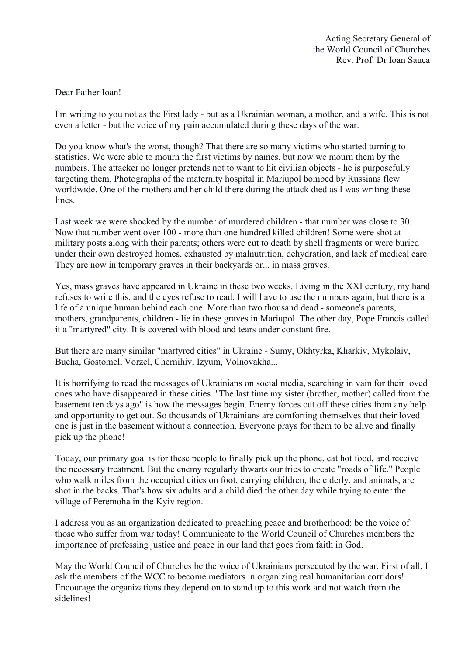## Dear Father Ioan!

I'm writing to you not as the First lady - but as a Ukrainian woman, a mother, and a wife. This is not even a letter - but the voice of my pain accumulated during these days of the war.

Do you know what's the worst, though? That there are so many victims who started turning to statistics. We were able to mourn the first victims by names, but now we mourn them by the numbers. The attacker no longer pretends not to want to hit civilian objects - he is purposefully targeting them. Photographs of the maternity hospital in Mariupol bombed by Russians flew worldwide. One of the mothers and her child there during the attack died as I was writing these lines.

Last week we were shocked by the number of murdered children - that number was close to 30. Now that number went over 100 - more than one hundred killed children! Some were shot at military posts along with their parents; others were cut to death by shell fragments or were buried under their own destroyed homes, exhausted by malnutrition, dehydration, and lack of medical care. They are now in temporary graves in their backyards or... in mass graves.

Yes, mass graves have appeared in Ukraine in these two weeks. Living in the XXI century, my hand refuses to write this, and the eyes refuse to read. I will have to use the numbers again, but there is a life of a unique human behind each one. More than two thousand dead - someone's parents, mothers, grandparents, children - lie in these graves in Mariupol. The other day, Pope Francis called it a "martyred" city. It is covered with blood and tears under constant fire.

But there are many similar "martyred cities" in Ukraine - Sumy, Okhtyrka, Kharkiv, Mykolaiv, Bucha, Gostomel, Vorzel, Chernihiv, Izyum, Volnovakha...

It is horrifying to read the messages of Ukrainians on social media, searching in vain for their loved ones who have disappeared in these cities. "The last time my sister (brother, mother) called from the basement ten days ago" is how the messages begin. Enemy forces cut off these cities from any help and opportunity to get out. So thousands of Ukrainians are comforting themselves that their loved one is just in the basement without a connection. Everyone prays for them to be alive and finally pick up the phone!

Today, our primary goal is for these people to finally pick up the phone, eat hot food, and receive the necessary treatment. But the enemy regularly thwarts our tries to create "roads of life." People who walk miles from the occupied cities on foot, carrying children, the elderly, and animals, are shot in the backs. That's how six adults and a child died the other day while trying to enter the village of Peremoha in the Kyiv region.

I address you as an organization dedicated to preaching peace and brotherhood: be the voice of those who suffer from war today! Communicate to the World Council of Churches members the importance of professing justice and peace in our land that goes from faith in God.

May the World Council of Churches be the voice of Ukrainians persecuted by the war. First of all, I ask the members of the WCC to become mediators in organizing real humanitarian corridors! Encourage the organizations they depend on to stand up to this work and not watch from the sidelines!